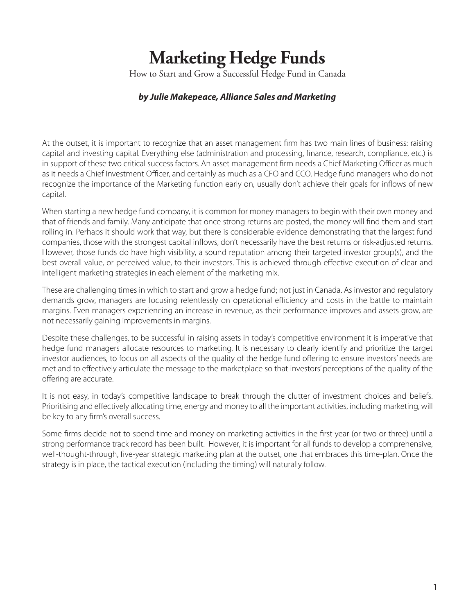# **Marketing Hedge Funds**

How to Start and Grow a Successful Hedge Fund in Canada

### *by Julie Makepeace, Alliance Sales and Marketing*

At the outset, it is important to recognize that an asset management firm has two main lines of business: raising capital and investing capital. Everything else (administration and processing, finance, research, compliance, etc.) is in support of these two critical success factors. An asset management firm needs a Chief Marketing Officer as much as it needs a Chief Investment Officer, and certainly as much as a CFO and CCO. Hedge fund managers who do not recognize the importance of the Marketing function early on, usually don't achieve their goals for inflows of new capital.

When starting a new hedge fund company, it is common for money managers to begin with their own money and that of friends and family. Many anticipate that once strong returns are posted, the money will find them and start rolling in. Perhaps it should work that way, but there is considerable evidence demonstrating that the largest fund companies, those with the strongest capital inflows, don't necessarily have the best returns or risk-adjusted returns. However, those funds do have high visibility, a sound reputation among their targeted investor group(s), and the best overall value, or perceived value, to their investors. This is achieved through effective execution of clear and intelligent marketing strategies in each element of the marketing mix.

These are challenging times in which to start and grow a hedge fund; not just in Canada. As investor and regulatory demands grow, managers are focusing relentlessly on operational efficiency and costs in the battle to maintain margins. Even managers experiencing an increase in revenue, as their performance improves and assets grow, are not necessarily gaining improvements in margins.

Despite these challenges, to be successful in raising assets in today's competitive environment it is imperative that hedge fund managers allocate resources to marketing. It is necessary to clearly identify and prioritize the target investor audiences, to focus on all aspects of the quality of the hedge fund offering to ensure investors' needs are met and to effectively articulate the message to the marketplace so that investors' perceptions of the quality of the offering are accurate.

It is not easy, in today's competitive landscape to break through the clutter of investment choices and beliefs. Prioritising and effectively allocating time, energy and money to all the important activities, including marketing, will be key to any firm's overall success.

Some firms decide not to spend time and money on marketing activities in the first year (or two or three) until a strong performance track record has been built. However, it is important for all funds to develop a comprehensive, well-thought-through, five-year strategic marketing plan at the outset, one that embraces this time-plan. Once the strategy is in place, the tactical execution (including the timing) will naturally follow.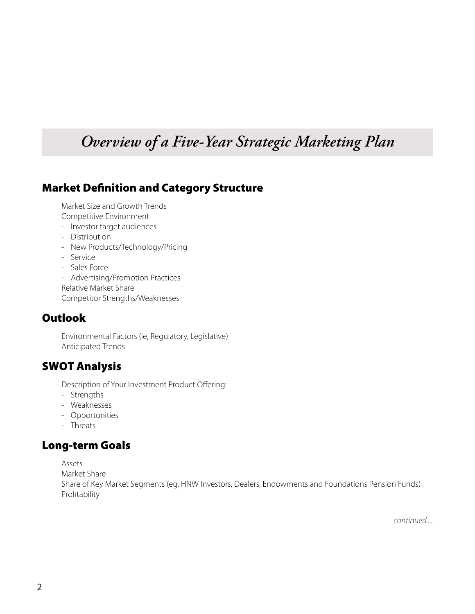## *Overview of a Five-Year Strategic Marketing Plan*

### Market Definition and Category Structure

Market Size and Growth Trends Competitive Environment

- Investor target audiences
- Distribution
- New Products/Technology/Pricing
- Service
- Sales Force

- Advertising/Promotion Practices Relative Market Share Competitor Strengths/Weaknesses

### **Outlook**

Environmental Factors (ie, Regulatory, Legislative) Anticipated Trends

### SWOT Analysis

Description of Your Investment Product Offering:

- Strengths
- Weaknesses
- Opportunities
- Threats

### Long-term Goals

Assets

Market Share

Share of Key Market Segments (eg, HNW Investors, Dealers, Endowments and Foundations Pension Funds) Profitability

*continued ...*